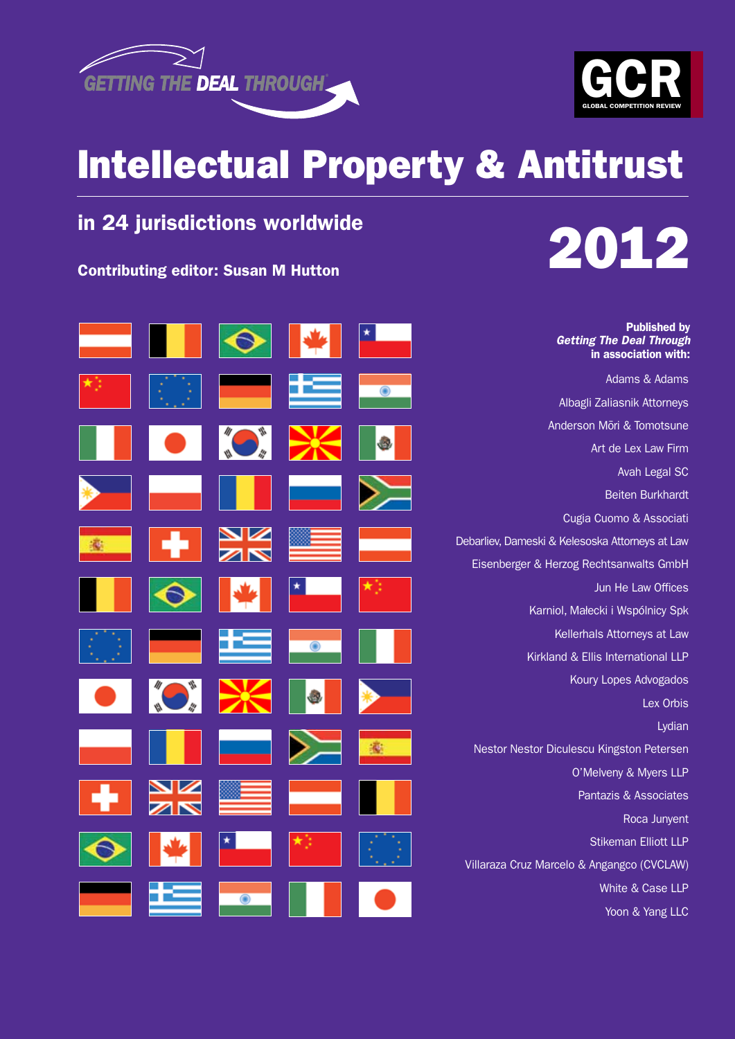



# Intellectual Property & Antitrust

# in 24 jurisdictions worldwide

Contributing editor: Susan M Hutton



Published by

| <b>Published by</b><br><b>Getting The Deal Through</b><br>in association with: |  |   |  |
|--------------------------------------------------------------------------------|--|---|--|
| Adams & Adams                                                                  |  |   |  |
| Albagli Zaliasnik Attorneys                                                    |  |   |  |
| Anderson Mōri & Tomotsune                                                      |  |   |  |
| Art de Lex Law Firm                                                            |  |   |  |
| Avah Legal SC                                                                  |  |   |  |
| <b>Beiten Burkhardt</b>                                                        |  |   |  |
| Cugia Cuomo & Associati                                                        |  |   |  |
| Debarliev, Dameski & Kelesoska Attorneys at Law                                |  |   |  |
| Eisenberger & Herzog Rechtsanwalts GmbH                                        |  |   |  |
| Jun He Law Offices                                                             |  |   |  |
| Karniol, Małecki i Wspólnicy Spk                                               |  |   |  |
| Kellerhals Attorneys at Law                                                    |  |   |  |
| Kirkland & Ellis International LLP                                             |  |   |  |
| Koury Lopes Advogados                                                          |  |   |  |
| Lex Orbis                                                                      |  |   |  |
| Lydian                                                                         |  |   |  |
| Nestor Nestor Diculescu Kingston Petersen                                      |  |   |  |
| O'Melveny & Myers LLP                                                          |  |   |  |
| Pantazis & Associates                                                          |  |   |  |
| Roca Junyent                                                                   |  |   |  |
| <b>Stikeman Elliott LLP</b>                                                    |  |   |  |
| Villaraza Cruz Marcelo & Angangco (CVCLAW)                                     |  |   |  |
| White & Case LLP                                                               |  |   |  |
| Yoon & Yang LLC                                                                |  | ◉ |  |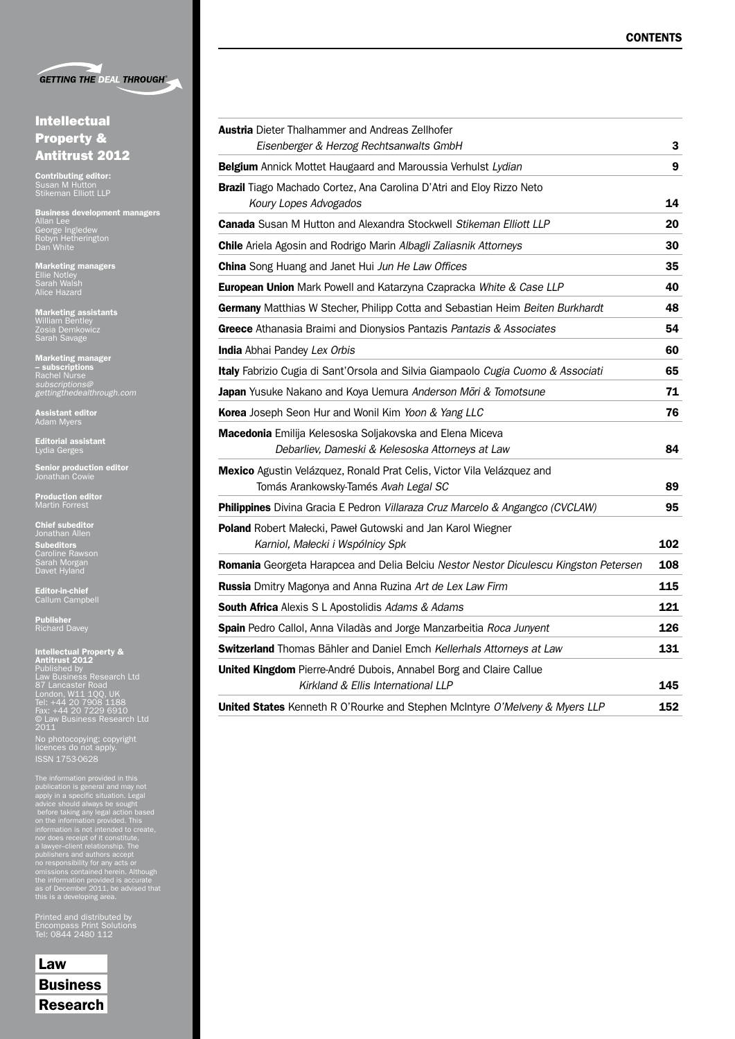

# Intellectual Property & Antitrust 2012

**Contributing editor:**<br>Susan M Hutton<br>Stikeman Elliott LLP

**Business development managers<br>Allan Lee<br>George Ingledew<br>Robyn Hetherington<br>Dan White** 

**Marketing managers**<br>Ellie Notley<br>Sarah Walsh<br>Alice Hazard

**Marketing assistants**<br>William Bentley<br>Zosia Demkowicz<br>Sarah Savage

Marketing manager – subscriptions Rachel Nurse *subscriptions@ gettingthedealthrough.com*

**Assistant editor**<br>Adam Myers

**Editorial assistant**<br>Lydia Gerges

**Senior production editor**<br>Jonathan Cowie

**Production editor**<br>Martin Forrest

**Chief subeditor**<br>Jonathan Allen **Subeditors**<br>Caroline Rawson<br>Sarah Morgan<br>Davet Hyland

**Editor-in-chief**<br>Callum Campbell

Publisher<br>Richard Davey

I**ntellectual Property &<br>Antitrust 2012**<br>Published by<br>Law Business Research Ltd<br>87 Lancaster Road<br>London, W11 1QQ, UK<br>Tel: +44 20 7908 1188<br>6 Law Business Research Ltd<br>2011<br>2011 No photocopying: copyright licences do not apply. ISSN 1753-0628

The information provided in this<br>publication is general and may not<br>apply in a specific situation. Legal<br>advice should always be sought<br>before taking any legal action based<br>on the information provided. This<br>information is

Printed and distributed by Encompass Print Solutions Tel: 0844 2480 112

Law **Business** Research

| <b>Austria</b> Dieter Thalhammer and Andreas Zellhofer                                                         |     |
|----------------------------------------------------------------------------------------------------------------|-----|
| Eisenberger & Herzog Rechtsanwalts GmbH                                                                        | 3   |
| Belgium Annick Mottet Haugaard and Maroussia Verhulst Lydian                                                   | 9   |
| Brazil Tiago Machado Cortez, Ana Carolina D'Atri and Eloy Rizzo Neto                                           |     |
| Koury Lopes Advogados                                                                                          | 14  |
| Canada Susan M Hutton and Alexandra Stockwell Stikeman Elliott LLP                                             | 20  |
| Chile Ariela Agosin and Rodrigo Marin Albagli Zaliasnik Attorneys                                              | 30  |
| <b>China</b> Song Huang and Janet Hui Jun He Law Offices                                                       | 35  |
| European Union Mark Powell and Katarzyna Czapracka White & Case LLP                                            | 40  |
| Germany Matthias W Stecher, Philipp Cotta and Sebastian Heim Beiten Burkhardt                                  | 48  |
| Greece Athanasia Braimi and Dionysios Pantazis Pantazis & Associates                                           | 54  |
| India Abhai Pandey Lex Orbis                                                                                   | 60  |
| Italy Fabrizio Cugia di Sant'Orsola and Silvia Giampaolo Cugia Cuomo & Associati                               | 65  |
| Japan Yusuke Nakano and Koya Uemura Anderson Mori & Tomotsune                                                  | 71  |
| Korea Joseph Seon Hur and Wonil Kim Yoon & Yang LLC                                                            | 76  |
| Macedonia Emilija Kelesoska Soljakovska and Elena Miceva                                                       |     |
| Debarliev, Dameski & Kelesoska Attorneys at Law                                                                | 84  |
| Mexico Agustin Velázquez, Ronald Prat Celis, Victor Vila Velázquez and<br>Tomás Arankowsky-Tamés Avah Legal SC | 89  |
| Philippines Divina Gracia E Pedron Villaraza Cruz Marcelo & Angangco (CVCLAW)                                  | 95  |
| Poland Robert Małecki, Paweł Gutowski and Jan Karol Wiegner                                                    |     |
| Karniol, Małecki i Wspólnicy Spk                                                                               | 102 |
| Romania Georgeta Harapcea and Delia Belciu Nestor Nestor Diculescu Kingston Petersen                           | 108 |
| Russia Dmitry Magonya and Anna Ruzina Art de Lex Law Firm                                                      | 115 |
| <b>South Africa</b> Alexis S L Apostolidis Adams & Adams                                                       | 121 |
| Spain Pedro Callol, Anna Viladàs and Jorge Manzarbeitia Roca Junyent                                           | 126 |
| Switzerland Thomas Bähler and Daniel Emch Kellerhals Attorneys at Law                                          | 131 |
| United Kingdom Pierre-André Dubois, Annabel Borg and Claire Callue<br>Kirkland & Ellis International LLP       | 145 |
| United States Kenneth R O'Rourke and Stephen McIntyre O'Melveny & Myers LLP                                    | 152 |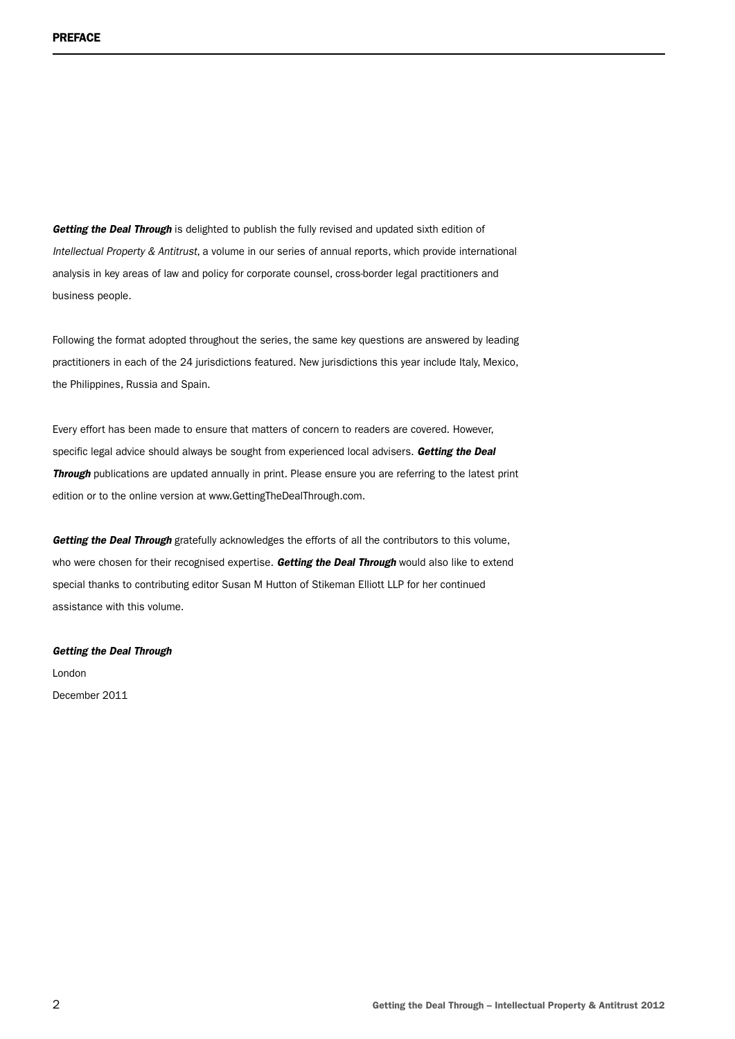*Getting the Deal Through* is delighted to publish the fully revised and updated sixth edition of *Intellectual Property & Antitrust*, a volume in our series of annual reports, which provide international analysis in key areas of law and policy for corporate counsel, cross-border legal practitioners and business people.

Following the format adopted throughout the series, the same key questions are answered by leading practitioners in each of the 24 jurisdictions featured. New jurisdictions this year include Italy, Mexico, the Philippines, Russia and Spain.

Every effort has been made to ensure that matters of concern to readers are covered. However, specific legal advice should always be sought from experienced local advisers. *Getting the Deal Through* publications are updated annually in print. Please ensure you are referring to the latest print edition or to the online version at www.GettingTheDealThrough.com.

*Getting the Deal Through* gratefully acknowledges the efforts of all the contributors to this volume, who were chosen for their recognised expertise. *Getting the Deal Through* would also like to extend special thanks to contributing editor Susan M Hutton of Stikeman Elliott LLP for her continued assistance with this volume.

#### *Getting the Deal Through*

London December 2011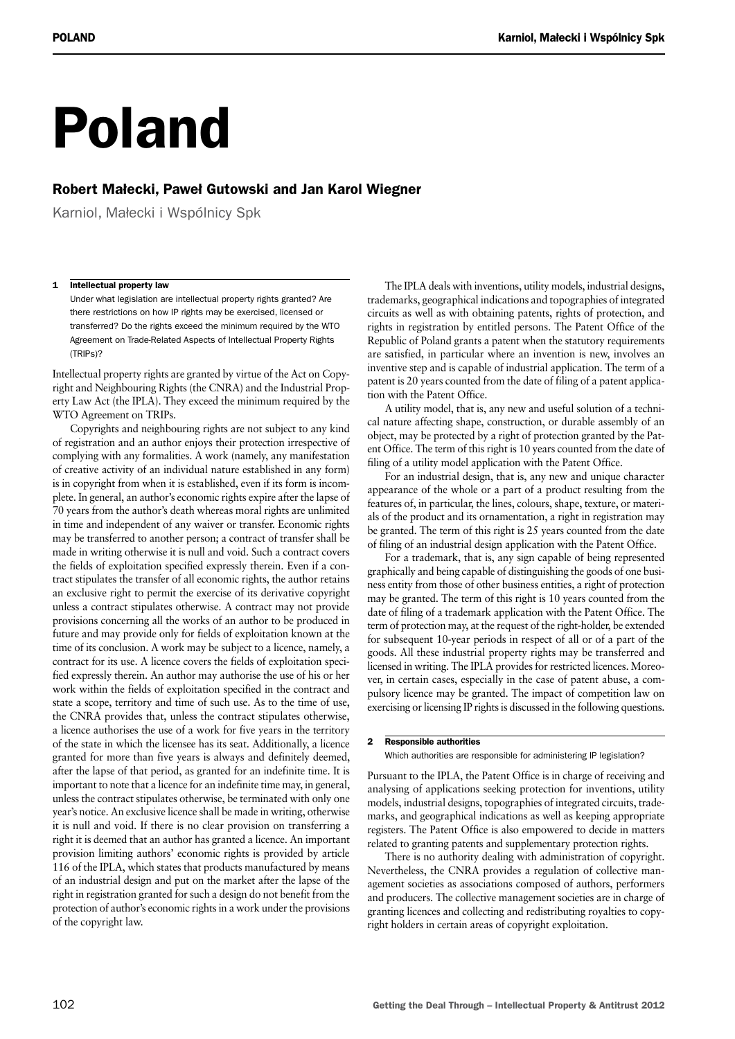# Poland

# Robert Małecki, Paweł Gutowski and Jan Karol Wiegner

Karniol, Małecki i Wspólnicy Spk

#### 1 Intellectual property law

Under what legislation are intellectual property rights granted? Are there restrictions on how IP rights may be exercised, licensed or transferred? Do the rights exceed the minimum required by the WTO Agreement on Trade-Related Aspects of Intellectual Property Rights (TRIPs)?

Intellectual property rights are granted by virtue of the Act on Copyright and Neighbouring Rights (the CNRA) and the Industrial Property Law Act (the IPLA). They exceed the minimum required by the WTO Agreement on TRIPs.

Copyrights and neighbouring rights are not subject to any kind of registration and an author enjoys their protection irrespective of complying with any formalities. A work (namely, any manifestation of creative activity of an individual nature established in any form) is in copyright from when it is established, even if its form is incomplete. In general, an author's economic rights expire after the lapse of 70 years from the author's death whereas moral rights are unlimited in time and independent of any waiver or transfer. Economic rights may be transferred to another person; a contract of transfer shall be made in writing otherwise it is null and void. Such a contract covers the fields of exploitation specified expressly therein. Even if a contract stipulates the transfer of all economic rights, the author retains an exclusive right to permit the exercise of its derivative copyright unless a contract stipulates otherwise. A contract may not provide provisions concerning all the works of an author to be produced in future and may provide only for fields of exploitation known at the time of its conclusion. A work may be subject to a licence, namely, a contract for its use. A licence covers the fields of exploitation specified expressly therein. An author may authorise the use of his or her work within the fields of exploitation specified in the contract and state a scope, territory and time of such use. As to the time of use, the CNRA provides that, unless the contract stipulates otherwise, a licence authorises the use of a work for five years in the territory of the state in which the licensee has its seat. Additionally, a licence granted for more than five years is always and definitely deemed, after the lapse of that period, as granted for an indefinite time. It is important to note that a licence for an indefinite time may, in general, unless the contract stipulates otherwise, be terminated with only one year's notice. An exclusive licence shall be made in writing, otherwise it is null and void. If there is no clear provision on transferring a right it is deemed that an author has granted a licence. An important provision limiting authors' economic rights is provided by article 116 of the IPLA, which states that products manufactured by means of an industrial design and put on the market after the lapse of the right in registration granted for such a design do not benefit from the protection of author's economic rights in a work under the provisions of the copyright law.

The IPLA deals with inventions, utility models, industrial designs, trademarks, geographical indications and topographies of integrated circuits as well as with obtaining patents, rights of protection, and rights in registration by entitled persons. The Patent Office of the Republic of Poland grants a patent when the statutory requirements are satisfied, in particular where an invention is new, involves an inventive step and is capable of industrial application. The term of a patent is 20 years counted from the date of filing of a patent application with the Patent Office.

A utility model, that is, any new and useful solution of a technical nature affecting shape, construction, or durable assembly of an object, may be protected by a right of protection granted by the Patent Office. The term of this right is 10 years counted from the date of filing of a utility model application with the Patent Office.

For an industrial design, that is, any new and unique character appearance of the whole or a part of a product resulting from the features of, in particular, the lines, colours, shape, texture, or materials of the product and its ornamentation, a right in registration may be granted. The term of this right is 25 years counted from the date of filing of an industrial design application with the Patent Office.

For a trademark, that is, any sign capable of being represented graphically and being capable of distinguishing the goods of one business entity from those of other business entities, a right of protection may be granted. The term of this right is 10 years counted from the date of filing of a trademark application with the Patent Office. The term of protection may, at the request of the right-holder, be extended for subsequent 10-year periods in respect of all or of a part of the goods. All these industrial property rights may be transferred and licensed in writing. The IPLA provides for restricted licences. Moreover, in certain cases, especially in the case of patent abuse, a compulsory licence may be granted. The impact of competition law on exercising or licensing IP rights is discussed in the following questions.

#### 2 Responsible authorities

Which authorities are responsible for administering IP legislation?

Pursuant to the IPLA, the Patent Office is in charge of receiving and analysing of applications seeking protection for inventions, utility models, industrial designs, topographies of integrated circuits, trademarks, and geographical indications as well as keeping appropriate registers. The Patent Office is also empowered to decide in matters related to granting patents and supplementary protection rights.

There is no authority dealing with administration of copyright. Nevertheless, the CNRA provides a regulation of collective management societies as associations composed of authors, performers and producers. The collective management societies are in charge of granting licences and collecting and redistributing royalties to copyright holders in certain areas of copyright exploitation.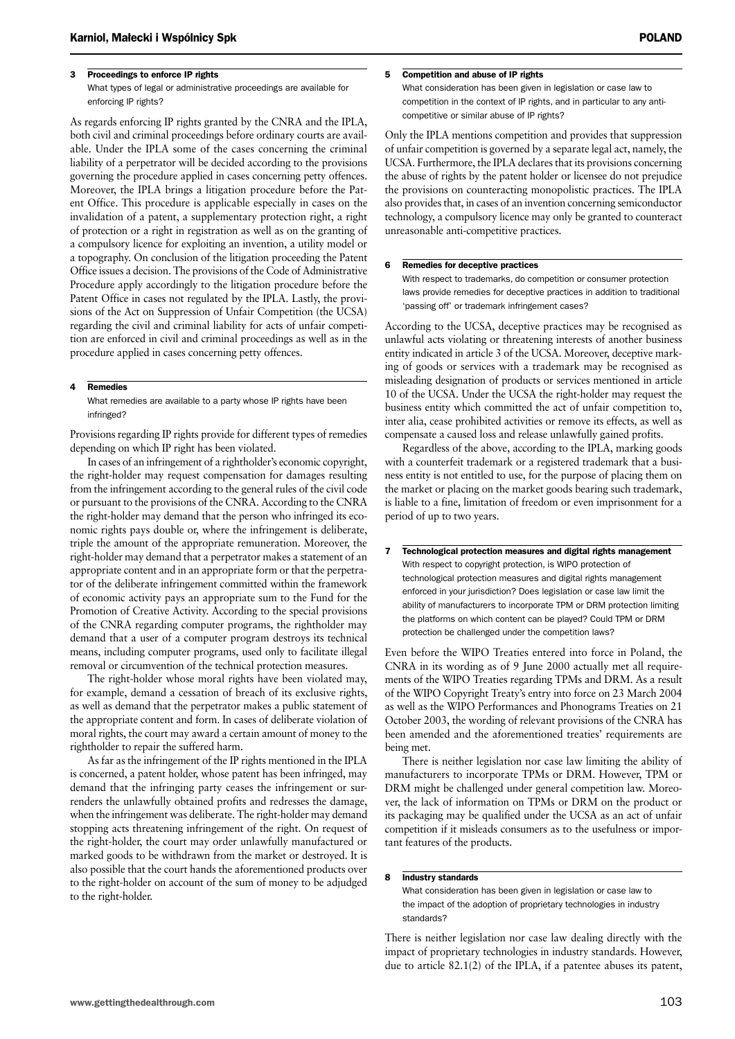#### 3 Proceedings to enforce IP rights

What types of legal or administrative proceedings are available for enforcing IP rights?

As regards enforcing IP rights granted by the CNRA and the IPLA, both civil and criminal proceedings before ordinary courts are available. Under the IPLA some of the cases concerning the criminal liability of a perpetrator will be decided according to the provisions governing the procedure applied in cases concerning petty offences. Moreover, the IPLA brings a litigation procedure before the Patent Office. This procedure is applicable especially in cases on the invalidation of a patent, a supplementary protection right, a right of protection or a right in registration as well as on the granting of a compulsory licence for exploiting an invention, a utility model or a topography. On conclusion of the litigation proceeding the Patent Office issues a decision. The provisions of the Code of Administrative Procedure apply accordingly to the litigation procedure before the Patent Office in cases not regulated by the IPLA. Lastly, the provisions of the Act on Suppression of Unfair Competition (the UCSA) regarding the civil and criminal liability for acts of unfair competition are enforced in civil and criminal proceedings as well as in the procedure applied in cases concerning petty offences.

#### 4 Remedies

What remedies are available to a party whose IP rights have been infringed?

Provisions regarding IP rights provide for different types of remedies depending on which IP right has been violated.

In cases of an infringement of a rightholder's economic copyright, the right-holder may request compensation for damages resulting from the infringement according to the general rules of the civil code or pursuant to the provisions of the CNRA. According to the CNRA the right-holder may demand that the person who infringed its economic rights pays double or, where the infringement is deliberate, triple the amount of the appropriate remuneration. Moreover, the right-holder may demand that a perpetrator makes a statement of an appropriate content and in an appropriate form or that the perpetrator of the deliberate infringement committed within the framework of economic activity pays an appropriate sum to the Fund for the Promotion of Creative Activity. According to the special provisions of the CNRA regarding computer programs, the rightholder may demand that a user of a computer program destroys its technical means, including computer programs, used only to facilitate illegal removal or circumvention of the technical protection measures.

The right-holder whose moral rights have been violated may, for example, demand a cessation of breach of its exclusive rights, as well as demand that the perpetrator makes a public statement of the appropriate content and form. In cases of deliberate violation of moral rights, the court may award a certain amount of money to the rightholder to repair the suffered harm.

As far as the infringement of the IP rights mentioned in the IPLA is concerned, a patent holder, whose patent has been infringed, may demand that the infringing party ceases the infringement or surrenders the unlawfully obtained profits and redresses the damage, when the infringement was deliberate. The right-holder may demand stopping acts threatening infringement of the right. On request of the right-holder, the court may order unlawfully manufactured or marked goods to be withdrawn from the market or destroyed. It is also possible that the court hands the aforementioned products over to the right-holder on account of the sum of money to be adjudged to the right-holder.

#### 5 Competition and abuse of IP rights

What consideration has been given in legislation or case law to competition in the context of IP rights, and in particular to any anticompetitive or similar abuse of IP rights?

Only the IPLA mentions competition and provides that suppression of unfair competition is governed by a separate legal act, namely, the UCSA. Furthermore, the IPLA declares that its provisions concerning the abuse of rights by the patent holder or licensee do not prejudice the provisions on counteracting monopolistic practices. The IPLA also provides that, in cases of an invention concerning semiconductor technology, a compulsory licence may only be granted to counteract unreasonable anti-competitive practices.

#### 6 Remedies for deceptive practices

With respect to trademarks, do competition or consumer protection laws provide remedies for deceptive practices in addition to traditional 'passing off' or trademark infringement cases?

According to the UCSA, deceptive practices may be recognised as unlawful acts violating or threatening interests of another business entity indicated in article 3 of the UCSA. Moreover, deceptive marking of goods or services with a trademark may be recognised as misleading designation of products or services mentioned in article 10 of the UCSA. Under the UCSA the right-holder may request the business entity which committed the act of unfair competition to, inter alia, cease prohibited activities or remove its effects, as well as compensate a caused loss and release unlawfully gained profits.

Regardless of the above, according to the IPLA, marking goods with a counterfeit trademark or a registered trademark that a business entity is not entitled to use, for the purpose of placing them on the market or placing on the market goods bearing such trademark, is liable to a fine, limitation of freedom or even imprisonment for a period of up to two years.

7 Technological protection measures and digital rights management With respect to copyright protection, is WIPO protection of technological protection measures and digital rights management enforced in your jurisdiction? Does legislation or case law limit the ability of manufacturers to incorporate TPM or DRM protection limiting the platforms on which content can be played? Could TPM or DRM protection be challenged under the competition laws?

Even before the WIPO Treaties entered into force in Poland, the CNRA in its wording as of 9 June 2000 actually met all requirements of the WIPO Treaties regarding TPMs and DRM. As a result of the WIPO Copyright Treaty's entry into force on 23 March 2004 as well as the WIPO Performances and Phonograms Treaties on 21 October 2003, the wording of relevant provisions of the CNRA has been amended and the aforementioned treaties' requirements are being met.

There is neither legislation nor case law limiting the ability of manufacturers to incorporate TPMs or DRM. However, TPM or DRM might be challenged under general competition law. Moreover, the lack of information on TPMs or DRM on the product or its packaging may be qualified under the UCSA as an act of unfair competition if it misleads consumers as to the usefulness or important features of the products.

#### 8 Industry standards

What consideration has been given in legislation or case law to the impact of the adoption of proprietary technologies in industry standards?

There is neither legislation nor case law dealing directly with the impact of proprietary technologies in industry standards. However, due to article 82.1(2) of the IPLA, if a patentee abuses its patent,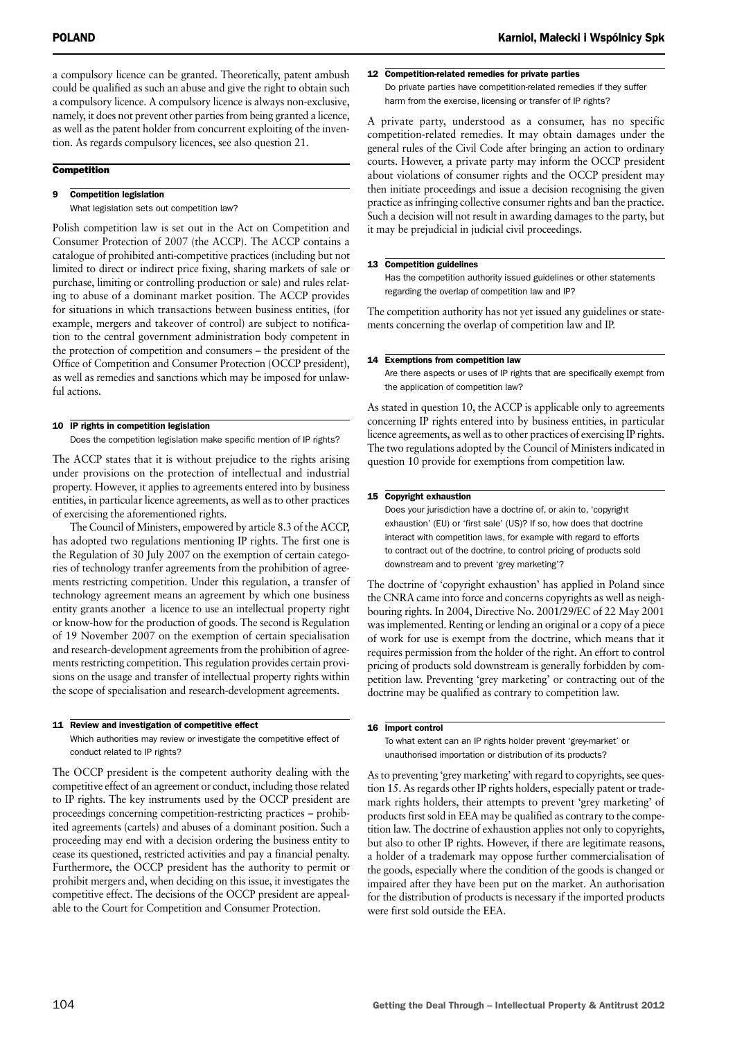a compulsory licence can be granted. Theoretically, patent ambush could be qualified as such an abuse and give the right to obtain such a compulsory licence. A compulsory licence is always non-exclusive, namely, it does not prevent other parties from being granted a licence, as well as the patent holder from concurrent exploiting of the invention. As regards compulsory licences, see also question 21.

## **Competition**

## 9 Competition legislation

What legislation sets out competition law?

Polish competition law is set out in the Act on Competition and Consumer Protection of 2007 (the ACCP). The ACCP contains a catalogue of prohibited anti-competitive practices (including but not limited to direct or indirect price fixing, sharing markets of sale or purchase, limiting or controlling production or sale) and rules relating to abuse of a dominant market position. The ACCP provides for situations in which transactions between business entities, (for example, mergers and takeover of control) are subject to notification to the central government administration body competent in the protection of competition and consumers – the president of the Office of Competition and Consumer Protection (OCCP president), as well as remedies and sanctions which may be imposed for unlawful actions.

#### 10 IP rights in competition legislation

Does the competition legislation make specific mention of IP rights?

The ACCP states that it is without prejudice to the rights arising under provisions on the protection of intellectual and industrial property. However, it applies to agreements entered into by business entities, in particular licence agreements, as well as to other practices of exercising the aforementioned rights.

The Council of Ministers, empowered by article 8.3 of the ACCP, has adopted two regulations mentioning IP rights. The first one is the Regulation of 30 July 2007 on the exemption of certain categories of technology tranfer agreements from the prohibition of agreements restricting competition. Under this regulation, a transfer of technology agreement means an agreement by which one business entity grants another a licence to use an intellectual property right or know-how for the production of goods. The second is Regulation of 19 November 2007 on the exemption of certain specialisation and research-development agreements from the prohibition of agreements restricting competition. This regulation provides certain provisions on the usage and transfer of intellectual property rights within the scope of specialisation and research-development agreements.

#### 11 Review and investigation of competitive effect

Which authorities may review or investigate the competitive effect of conduct related to IP rights?

The OCCP president is the competent authority dealing with the competitive effect of an agreement or conduct, including those related to IP rights. The key instruments used by the OCCP president are proceedings concerning competition-restricting practices – prohibited agreements (cartels) and abuses of a dominant position. Such a proceeding may end with a decision ordering the business entity to cease its questioned, restricted activities and pay a financial penalty. Furthermore, the OCCP president has the authority to permit or prohibit mergers and, when deciding on this issue, it investigates the competitive effect. The decisions of the OCCP president are appealable to the Court for Competition and Consumer Protection.

## 12 Competition-related remedies for private parties

Do private parties have competition-related remedies if they suffer harm from the exercise, licensing or transfer of IP rights?

A private party, understood as a consumer, has no specific competition-related remedies. It may obtain damages under the general rules of the Civil Code after bringing an action to ordinary courts. However, a private party may inform the OCCP president about violations of consumer rights and the OCCP president may then initiate proceedings and issue a decision recognising the given practice as infringing collective consumer rights and ban the practice. Such a decision will not result in awarding damages to the party, but it may be prejudicial in judicial civil proceedings.

#### 13 Competition guidelines

Has the competition authority issued guidelines or other statements regarding the overlap of competition law and IP?

The competition authority has not yet issued any guidelines or statements concerning the overlap of competition law and IP.

#### 14 Exemptions from competition law

Are there aspects or uses of IP rights that are specifically exempt from the application of competition law?

As stated in question 10, the ACCP is applicable only to agreements concerning IP rights entered into by business entities, in particular licence agreements, as well as to other practices of exercising IP rights. The two regulations adopted by the Council of Ministers indicated in question 10 provide for exemptions from competition law.

#### 15 Copyright exhaustion

Does your jurisdiction have a doctrine of, or akin to, 'copyright exhaustion' (EU) or 'first sale' (US)? If so, how does that doctrine interact with competition laws, for example with regard to efforts to contract out of the doctrine, to control pricing of products sold downstream and to prevent 'grey marketing'?

The doctrine of 'copyright exhaustion' has applied in Poland since the CNRA came into force and concerns copyrights as well as neighbouring rights. In 2004, Directive No. 2001/29/EC of 22 May 2001 was implemented. Renting or lending an original or a copy of a piece of work for use is exempt from the doctrine, which means that it requires permission from the holder of the right. An effort to control pricing of products sold downstream is generally forbidden by competition law. Preventing 'grey marketing' or contracting out of the doctrine may be qualified as contrary to competition law.

#### 16 Import control

To what extent can an IP rights holder prevent 'grey-market' or unauthorised importation or distribution of its products?

As to preventing 'grey marketing' with regard to copyrights, see question 15. As regards other IP rights holders, especially patent or trademark rights holders, their attempts to prevent 'grey marketing' of products first sold in EEA may be qualified as contrary to the competition law. The doctrine of exhaustion applies not only to copyrights, but also to other IP rights. However, if there are legitimate reasons, a holder of a trademark may oppose further commercialisation of the goods, especially where the condition of the goods is changed or impaired after they have been put on the market. An authorisation for the distribution of products is necessary if the imported products were first sold outside the EEA.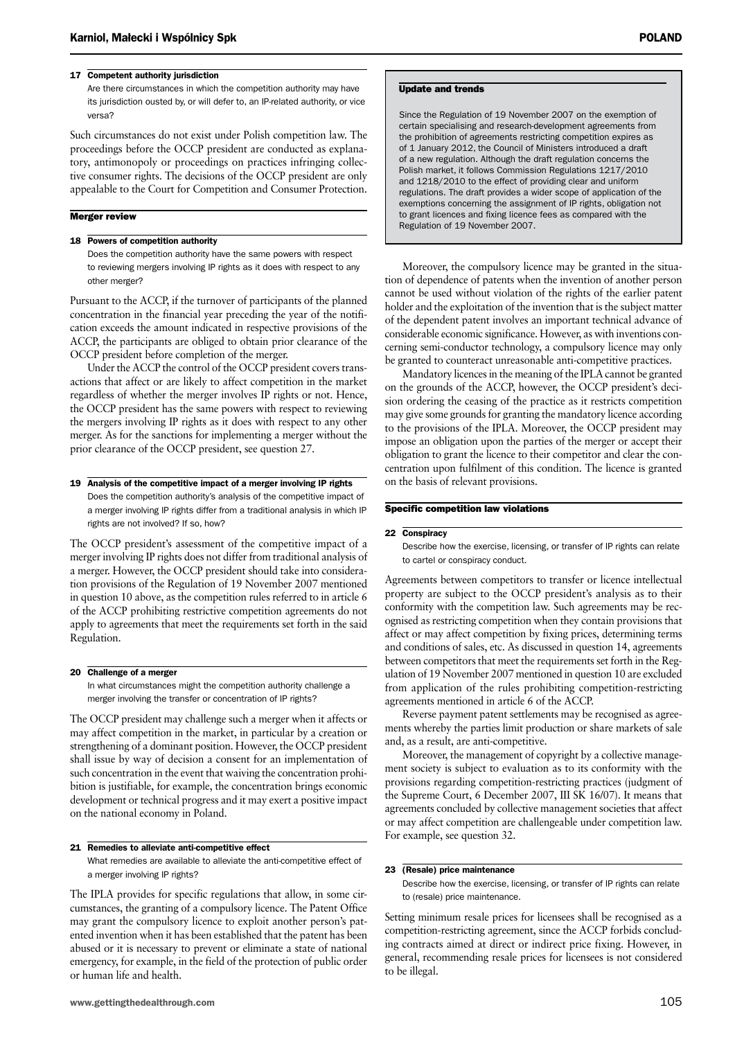#### 17 Competent authority jurisdiction

Are there circumstances in which the competition authority may have its jurisdiction ousted by, or will defer to, an IP-related authority, or vice versa?

Such circumstances do not exist under Polish competition law. The proceedings before the OCCP president are conducted as explanatory, antimonopoly or proceedings on practices infringing collective consumer rights. The decisions of the OCCP president are only appealable to the Court for Competition and Consumer Protection.

#### Merger review

#### 18 Powers of competition authority

Does the competition authority have the same powers with respect to reviewing mergers involving IP rights as it does with respect to any other merger?

Pursuant to the ACCP, if the turnover of participants of the planned concentration in the financial year preceding the year of the notification exceeds the amount indicated in respective provisions of the ACCP, the participants are obliged to obtain prior clearance of the OCCP president before completion of the merger.

Under the ACCP the control of the OCCP president covers transactions that affect or are likely to affect competition in the market regardless of whether the merger involves IP rights or not. Hence, the OCCP president has the same powers with respect to reviewing the mergers involving IP rights as it does with respect to any other merger. As for the sanctions for implementing a merger without the prior clearance of the OCCP president, see question 27.

#### 19 Analysis of the competitive impact of a merger involving IP rights Does the competition authority's analysis of the competitive impact of a merger involving IP rights differ from a traditional analysis in which IP rights are not involved? If so, how?

The OCCP president's assessment of the competitive impact of a merger involving IP rights does not differ from traditional analysis of a merger. However, the OCCP president should take into consideration provisions of the Regulation of 19 November 2007 mentioned in question 10 above, as the competition rules referred to in article 6 of the ACCP prohibiting restrictive competition agreements do not apply to agreements that meet the requirements set forth in the said Regulation.

#### 20 Challenge of a merger

In what circumstances might the competition authority challenge a merger involving the transfer or concentration of IP rights?

The OCCP president may challenge such a merger when it affects or may affect competition in the market, in particular by a creation or strengthening of a dominant position. However, the OCCP president shall issue by way of decision a consent for an implementation of such concentration in the event that waiving the concentration prohibition is justifiable, for example, the concentration brings economic development or technical progress and it may exert a positive impact on the national economy in Poland.

#### 21 Remedies to alleviate anti-competitive effect

What remedies are available to alleviate the anti-competitive effect of a merger involving IP rights?

The IPLA provides for specific regulations that allow, in some circumstances, the granting of a compulsory licence. The Patent Office may grant the compulsory licence to exploit another person's patented invention when it has been established that the patent has been abused or it is necessary to prevent or eliminate a state of national emergency, for example, in the field of the protection of public order or human life and health.

#### Update and trends

Since the Regulation of 19 November 2007 on the exemption of certain specialising and research-development agreements from the prohibition of agreements restricting competition expires as of 1 January 2012, the Council of Ministers introduced a draft of a new regulation. Although the draft regulation concerns the Polish market, it follows Commission Regulations 1217/2010 and 1218/2010 to the effect of providing clear and uniform regulations. The draft provides a wider scope of application of the exemptions concerning the assignment of IP rights, obligation not to grant licences and fixing licence fees as compared with the Regulation of 19 November 2007.

Moreover, the compulsory licence may be granted in the situation of dependence of patents when the invention of another person cannot be used without violation of the rights of the earlier patent holder and the exploitation of the invention that is the subject matter of the dependent patent involves an important technical advance of considerable economic significance. However, as with inventions concerning semi-conductor technology, a compulsory licence may only be granted to counteract unreasonable anti-competitive practices.

Mandatory licences in the meaning of the IPLA cannot be granted on the grounds of the ACCP, however, the OCCP president's decision ordering the ceasing of the practice as it restricts competition may give some grounds for granting the mandatory licence according to the provisions of the IPLA. Moreover, the OCCP president may impose an obligation upon the parties of the merger or accept their obligation to grant the licence to their competitor and clear the concentration upon fulfilment of this condition. The licence is granted on the basis of relevant provisions.

#### Specific competition law violations

#### 22 Conspiracy

Describe how the exercise, licensing, or transfer of IP rights can relate to cartel or conspiracy conduct.

Agreements between competitors to transfer or licence intellectual property are subject to the OCCP president's analysis as to their conformity with the competition law. Such agreements may be recognised as restricting competition when they contain provisions that affect or may affect competition by fixing prices, determining terms and conditions of sales, etc. As discussed in question 14, agreements between competitors that meet the requirements set forth in the Regulation of 19 November 2007 mentioned in question 10 are excluded from application of the rules prohibiting competition-restricting agreements mentioned in article 6 of the ACCP.

Reverse payment patent settlements may be recognised as agreements whereby the parties limit production or share markets of sale and, as a result, are anti-competitive.

Moreover, the management of copyright by a collective management society is subject to evaluation as to its conformity with the provisions regarding competition-restricting practices (judgment of the Supreme Court, 6 December 2007, III SK 16/07). It means that agreements concluded by collective management societies that affect or may affect competition are challengeable under competition law. For example, see question 32.

#### 23 (Resale) price maintenance

Describe how the exercise, licensing, or transfer of IP rights can relate to (resale) price maintenance.

Setting minimum resale prices for licensees shall be recognised as a competition-restricting agreement, since the ACCP forbids concluding contracts aimed at direct or indirect price fixing. However, in general, recommending resale prices for licensees is not considered to be illegal.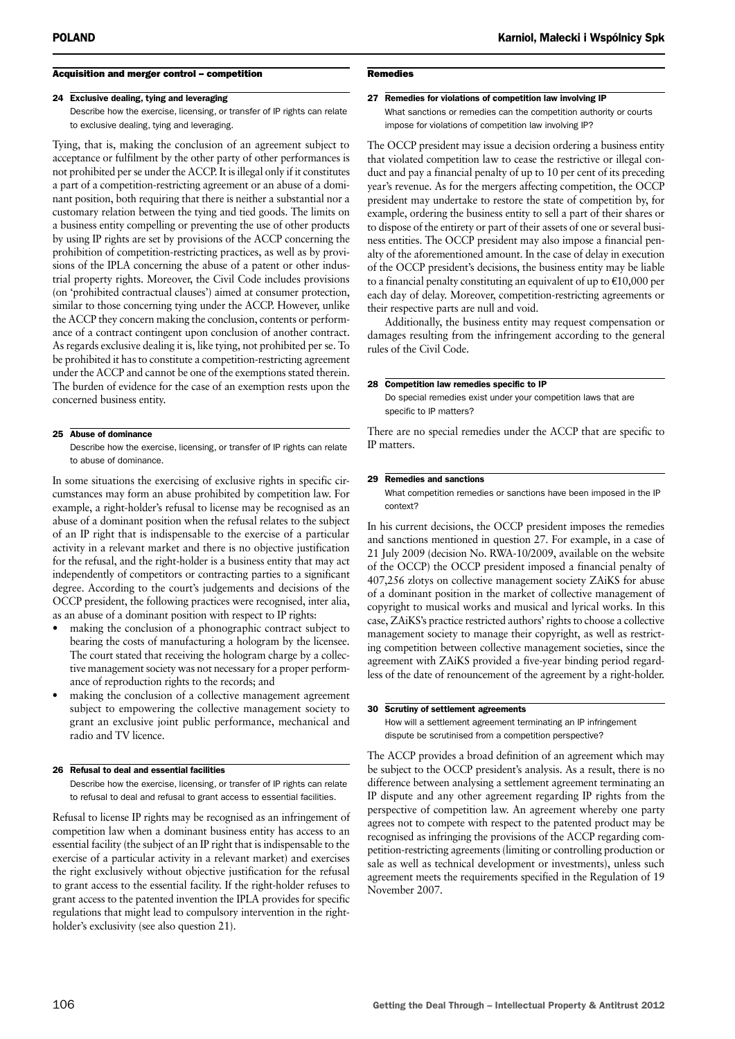## Acquisition and merger control – competition

#### 24 Exclusive dealing, tying and leveraging

Describe how the exercise, licensing, or transfer of IP rights can relate to exclusive dealing, tying and leveraging.

Tying, that is, making the conclusion of an agreement subject to acceptance or fulfilment by the other party of other performances is not prohibited per se under the ACCP. It is illegal only if it constitutes a part of a competition-restricting agreement or an abuse of a dominant position, both requiring that there is neither a substantial nor a customary relation between the tying and tied goods. The limits on a business entity compelling or preventing the use of other products by using IP rights are set by provisions of the ACCP concerning the prohibition of competition-restricting practices, as well as by provisions of the IPLA concerning the abuse of a patent or other industrial property rights. Moreover, the Civil Code includes provisions (on 'prohibited contractual clauses') aimed at consumer protection, similar to those concerning tying under the ACCP. However, unlike the ACCP they concern making the conclusion, contents or performance of a contract contingent upon conclusion of another contract. As regards exclusive dealing it is, like tying, not prohibited per se. To be prohibited it has to constitute a competition-restricting agreement under the ACCP and cannot be one of the exemptions stated therein. The burden of evidence for the case of an exemption rests upon the concerned business entity.

#### 25 Abuse of dominance

Describe how the exercise, licensing, or transfer of IP rights can relate to abuse of dominance.

In some situations the exercising of exclusive rights in specific circumstances may form an abuse prohibited by competition law. For example, a right-holder's refusal to license may be recognised as an abuse of a dominant position when the refusal relates to the subject of an IP right that is indispensable to the exercise of a particular activity in a relevant market and there is no objective justification for the refusal, and the right-holder is a business entity that may act independently of competitors or contracting parties to a significant degree. According to the court's judgements and decisions of the OCCP president, the following practices were recognised, inter alia, as an abuse of a dominant position with respect to IP rights:

- making the conclusion of a phonographic contract subject to bearing the costs of manufacturing a hologram by the licensee. The court stated that receiving the hologram charge by a collective management society was not necessary for a proper performance of reproduction rights to the records; and
- making the conclusion of a collective management agreement subject to empowering the collective management society to grant an exclusive joint public performance, mechanical and radio and TV licence.

#### 26 Refusal to deal and essential facilities

Describe how the exercise, licensing, or transfer of IP rights can relate to refusal to deal and refusal to grant access to essential facilities.

Refusal to license IP rights may be recognised as an infringement of competition law when a dominant business entity has access to an essential facility (the subject of an IP right that is indispensable to the exercise of a particular activity in a relevant market) and exercises the right exclusively without objective justification for the refusal to grant access to the essential facility. If the right-holder refuses to grant access to the patented invention the IPLA provides for specific regulations that might lead to compulsory intervention in the rightholder's exclusivity (see also question 21).

#### poland Karniol, Małecki i Wspólnicy Spk

#### Remedies

#### 27 Remedies for violations of competition law involving IP

What sanctions or remedies can the competition authority or courts impose for violations of competition law involving IP?

The OCCP president may issue a decision ordering a business entity that violated competition law to cease the restrictive or illegal conduct and pay a financial penalty of up to 10 per cent of its preceding year's revenue. As for the mergers affecting competition, the OCCP president may undertake to restore the state of competition by, for example, ordering the business entity to sell a part of their shares or to dispose of the entirety or part of their assets of one or several business entities. The OCCP president may also impose a financial penalty of the aforementioned amount. In the case of delay in execution of the OCCP president's decisions, the business entity may be liable to a financial penalty constituting an equivalent of up to  $£10,000$  per each day of delay. Moreover, competition-restricting agreements or their respective parts are null and void.

Additionally, the business entity may request compensation or damages resulting from the infringement according to the general rules of the Civil Code.

#### 28 Competition law remedies specific to IP

Do special remedies exist under your competition laws that are specific to IP matters?

There are no special remedies under the ACCP that are specific to IP matters.

#### 29 Remedies and sanctions

What competition remedies or sanctions have been imposed in the IP context?

In his current decisions, the OCCP president imposes the remedies and sanctions mentioned in question 27. For example, in a case of 21 July 2009 (decision No. RWA-10/2009, available on the website of the OCCP) the OCCP president imposed a financial penalty of 407,256 zlotys on collective management society ZAiKS for abuse of a dominant position in the market of collective management of copyright to musical works and musical and lyrical works. In this case, ZAiKS's practice restricted authors' rights to choose a collective management society to manage their copyright, as well as restricting competition between collective management societies, since the agreement with ZAiKS provided a five-year binding period regardless of the date of renouncement of the agreement by a right-holder.

#### 30 Scrutiny of settlement agreements

How will a settlement agreement terminating an IP infringement dispute be scrutinised from a competition perspective?

The ACCP provides a broad definition of an agreement which may be subject to the OCCP president's analysis. As a result, there is no difference between analysing a settlement agreement terminating an IP dispute and any other agreement regarding IP rights from the perspective of competition law. An agreement whereby one party agrees not to compete with respect to the patented product may be recognised as infringing the provisions of the ACCP regarding competition-restricting agreements (limiting or controlling production or sale as well as technical development or investments), unless such agreement meets the requirements specified in the Regulation of 19 November 2007.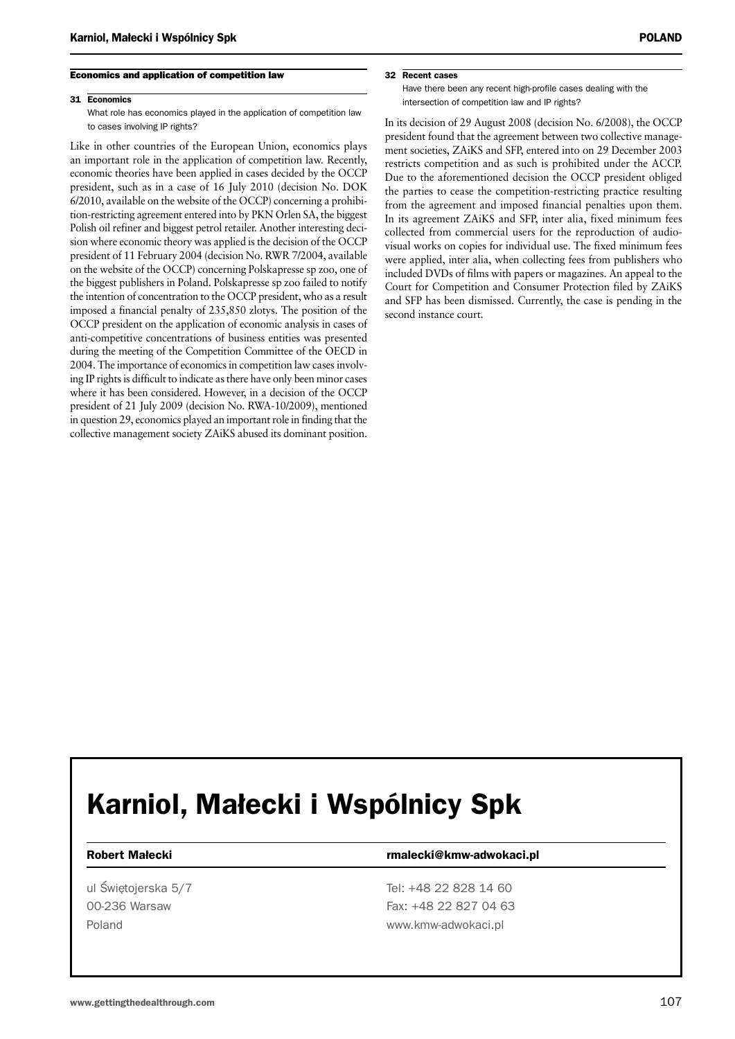#### Economics and application of competition law

#### 31 Economics

What role has economics played in the application of competition law to cases involving IP rights?

Like in other countries of the European Union, economics plays an important role in the application of competition law. Recently, economic theories have been applied in cases decided by the OCCP president, such as in a case of 16 July 2010 (decision No. DOK 6/2010, available on the website of the OCCP) concerning a prohibition-restricting agreement entered into by PKN Orlen SA, the biggest Polish oil refiner and biggest petrol retailer. Another interesting decision where economic theory was applied is the decision of the OCCP president of 11 February 2004 (decision No. RWR 7/2004, available on the website of the OCCP) concerning Polskapresse sp zoo, one of the biggest publishers in Poland. Polskapresse sp zoo failed to notify the intention of concentration to the OCCP president, who as a result imposed a financial penalty of 235,850 zlotys. The position of the OCCP president on the application of economic analysis in cases of anti-competitive concentrations of business entities was presented during the meeting of the Competition Committee of the OECD in 2004. The importance of economics in competition law cases involving IP rights is difficult to indicate as there have only been minor cases where it has been considered. However, in a decision of the OCCP president of 21 July 2009 (decision No. RWA-10/2009), mentioned in question 29, economics played an important role in finding that the collective management society ZAiKS abused its dominant position.

#### 32 Recent cases

Have there been any recent high-profile cases dealing with the intersection of competition law and IP rights?

In its decision of 29 August 2008 (decision No. 6/2008), the OCCP president found that the agreement between two collective management societies, ZAiKS and SFP, entered into on 29 December 2003 restricts competition and as such is prohibited under the ACCP. Due to the aforementioned decision the OCCP president obliged the parties to cease the competition-restricting practice resulting from the agreement and imposed financial penalties upon them. In its agreement ZAiKS and SFP, inter alia, fixed minimum fees collected from commercial users for the reproduction of audiovisual works on copies for individual use. The fixed minimum fees were applied, inter alia, when collecting fees from publishers who included DVDs of films with papers or magazines. An appeal to the Court for Competition and Consumer Protection filed by ZAiKS and SFP has been dismissed. Currently, the case is pending in the second instance court.

# Karniol, Małecki i Wspólnicy Spk

#### Robert Małecki **rmalecki** rmalecki@kmw-adwokaci.pl

ul Świetojerska 5/7 Tel: +48 22 828 14 60 00-236 Warsaw Fax: +48 22 827 04 63 Poland **WWW.kmw-adwokaci.pl**